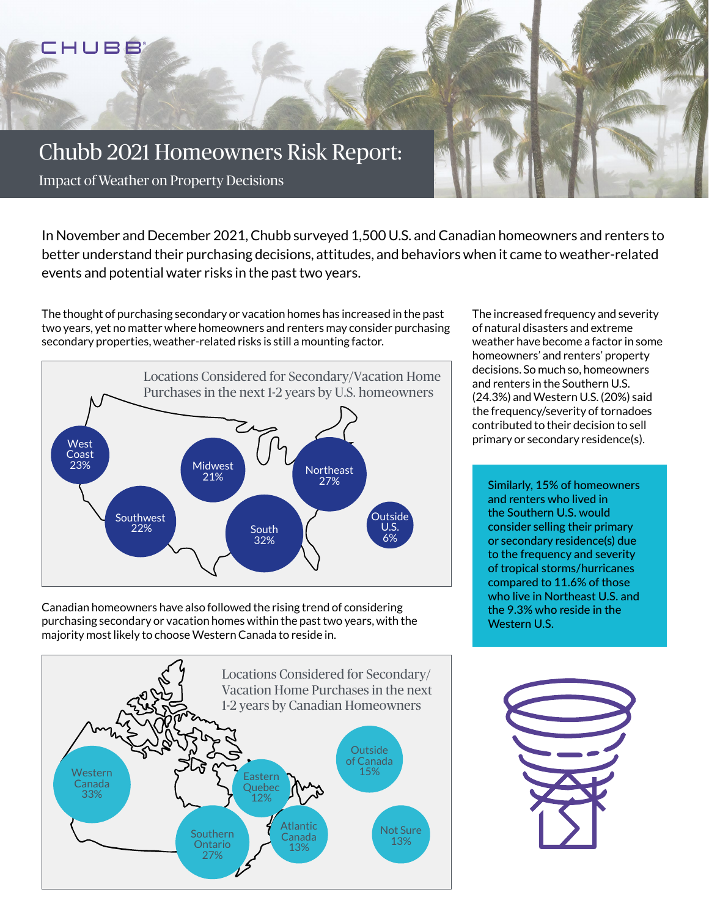

In November and December 2021, Chubb surveyed 1,500 U.S. and Canadian homeowners and renters to better understand their purchasing decisions, attitudes, and behaviors when it came to weather-related events and potential water risks in the past two years.

The thought of purchasing secondary or vacation homes has increased in the past two years, yet no matter where homeowners and renters may consider purchasing secondary properties, weather-related risks is still a mounting factor.



Canadian homeowners have also followed the rising trend of considering purchasing secondary or vacation homes within the past two years, with the majority most likely to choose Western Canada to reside in.



The increased frequency and severity of natural disasters and extreme weather have become a factor in some homeowners' and renters' property decisions. So much so, homeowners and renters in the Southern U.S. (24.3%) and Western U.S. (20%) said the frequency/severity of tornadoes contributed to their decision to sell primary or secondary residence(s).

Similarly, 15% of homeowners and renters who lived in the Southern U.S. would consider selling their primary or secondary residence(s) due to the frequency and severity of tropical storms/hurricanes compared to 11.6% of those who live in Northeast U.S. and the 9.3% who reside in the Western U.S.